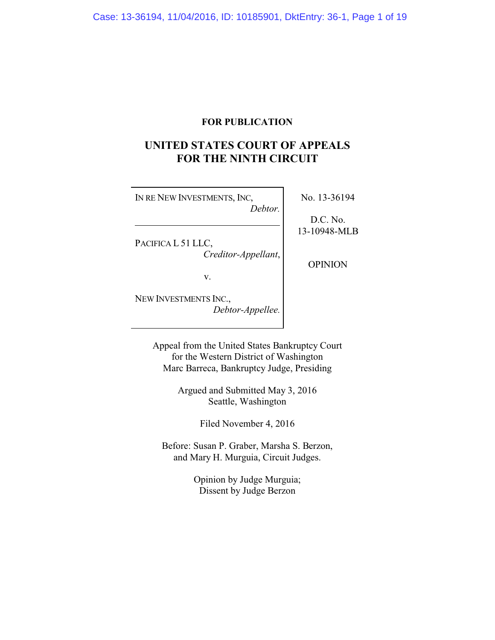## **FOR PUBLICATION**

# **UNITED STATES COURT OF APPEALS FOR THE NINTH CIRCUIT**

| IN RE NEW INVESTMENTS, INC. | No. 13-36194 |
|-----------------------------|--------------|
| Debtor.                     | D.C. No.     |
|                             | 13-10948-MLB |
| PACIFICA L 51 LLC,          |              |
| Creditor-Appellant,         |              |
|                             | OPINION      |
| v.                          |              |
| NEW INVESTMENTS INC.,       |              |
| Debtor-Appellee.            |              |

Appeal from the United States Bankruptcy Court for the Western District of Washington Marc Barreca, Bankruptcy Judge, Presiding

> Argued and Submitted May 3, 2016 Seattle, Washington

> > Filed November 4, 2016

Before: Susan P. Graber, Marsha S. Berzon, and Mary H. Murguia, Circuit Judges.

> Opinion by Judge Murguia; Dissent by Judge Berzon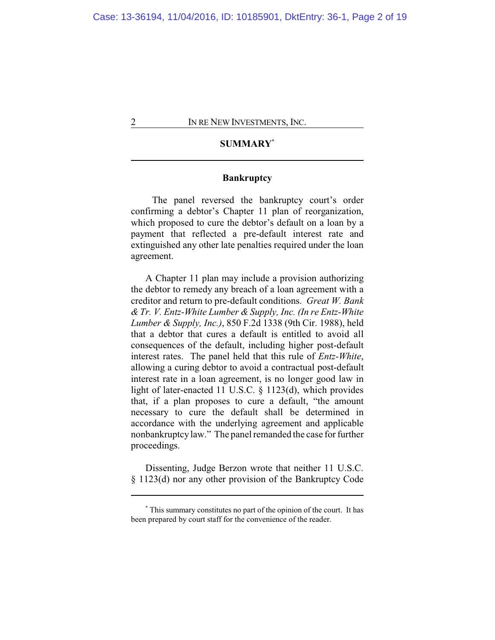## **SUMMARY\***

## **Bankruptcy**

The panel reversed the bankruptcy court's order confirming a debtor's Chapter 11 plan of reorganization, which proposed to cure the debtor's default on a loan by a payment that reflected a pre-default interest rate and extinguished any other late penalties required under the loan agreement.

A Chapter 11 plan may include a provision authorizing the debtor to remedy any breach of a loan agreement with a creditor and return to pre-default conditions. *Great W. Bank & Tr. V. Entz-White Lumber & Supply, Inc. (In re Entz-White Lumber & Supply, Inc.)*, 850 F.2d 1338 (9th Cir. 1988), held that a debtor that cures a default is entitled to avoid all consequences of the default, including higher post-default interest rates. The panel held that this rule of *Entz-White*, allowing a curing debtor to avoid a contractual post-default interest rate in a loan agreement, is no longer good law in light of later-enacted 11 U.S.C. § 1123(d), which provides that, if a plan proposes to cure a default, "the amount necessary to cure the default shall be determined in accordance with the underlying agreement and applicable nonbankruptcy law." The panel remanded the case for further proceedings.

Dissenting, Judge Berzon wrote that neither 11 U.S.C. § 1123(d) nor any other provision of the Bankruptcy Code

**<sup>\*</sup>** This summary constitutes no part of the opinion of the court. It has been prepared by court staff for the convenience of the reader.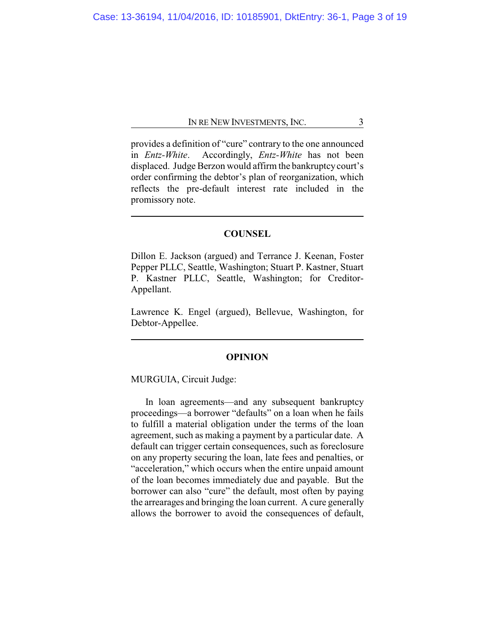provides a definition of "cure" contrary to the one announced in *Entz-White*. Accordingly, *Entz-White* has not been displaced. Judge Berzon would affirm the bankruptcycourt's order confirming the debtor's plan of reorganization, which reflects the pre-default interest rate included in the promissory note.

## **COUNSEL**

Dillon E. Jackson (argued) and Terrance J. Keenan, Foster Pepper PLLC, Seattle, Washington; Stuart P. Kastner, Stuart P. Kastner PLLC, Seattle, Washington; for Creditor-Appellant.

Lawrence K. Engel (argued), Bellevue, Washington, for Debtor-Appellee.

### **OPINION**

MURGUIA, Circuit Judge:

In loan agreements—and any subsequent bankruptcy proceedings—a borrower "defaults" on a loan when he fails to fulfill a material obligation under the terms of the loan agreement, such as making a payment by a particular date. A default can trigger certain consequences, such as foreclosure on any property securing the loan, late fees and penalties, or "acceleration," which occurs when the entire unpaid amount of the loan becomes immediately due and payable. But the borrower can also "cure" the default, most often by paying the arrearages and bringing the loan current. A cure generally allows the borrower to avoid the consequences of default,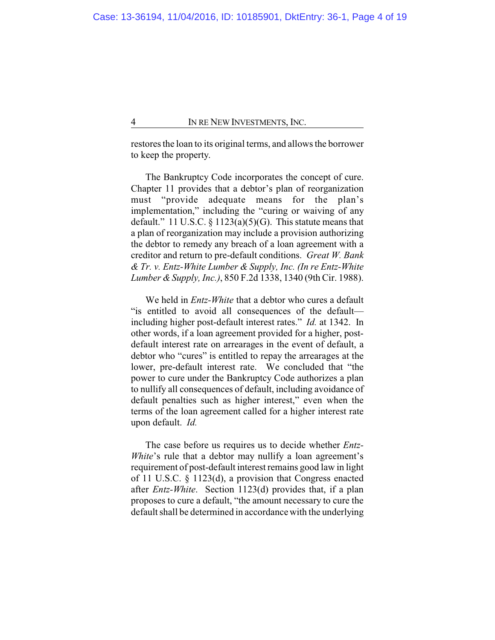restores the loan to its original terms, and allows the borrower to keep the property.

The Bankruptcy Code incorporates the concept of cure. Chapter 11 provides that a debtor's plan of reorganization must "provide adequate means for the plan's implementation," including the "curing or waiving of any default." 11 U.S.C.  $\S 1123(a)(5)(G)$ . This statute means that a plan of reorganization may include a provision authorizing the debtor to remedy any breach of a loan agreement with a creditor and return to pre-default conditions. *Great W. Bank & Tr. v. Entz-White Lumber & Supply, Inc. (In re Entz-White Lumber &Supply, Inc.)*, 850 F.2d 1338, 1340 (9th Cir. 1988).

We held in *Entz-White* that a debtor who cures a default "is entitled to avoid all consequences of the default including higher post-default interest rates." *Id.* at 1342. In other words, if a loan agreement provided for a higher, postdefault interest rate on arrearages in the event of default, a debtor who "cures" is entitled to repay the arrearages at the lower, pre-default interest rate. We concluded that "the power to cure under the Bankruptcy Code authorizes a plan to nullify all consequences of default, including avoidance of default penalties such as higher interest," even when the terms of the loan agreement called for a higher interest rate upon default. *Id.*

The case before us requires us to decide whether *Entz-White*'s rule that a debtor may nullify a loan agreement's requirement of post-default interest remains good law in light of 11 U.S.C. § 1123(d), a provision that Congress enacted after *Entz-White*. Section 1123(d) provides that, if a plan proposes to cure a default, "the amount necessary to cure the default shall be determined in accordance with the underlying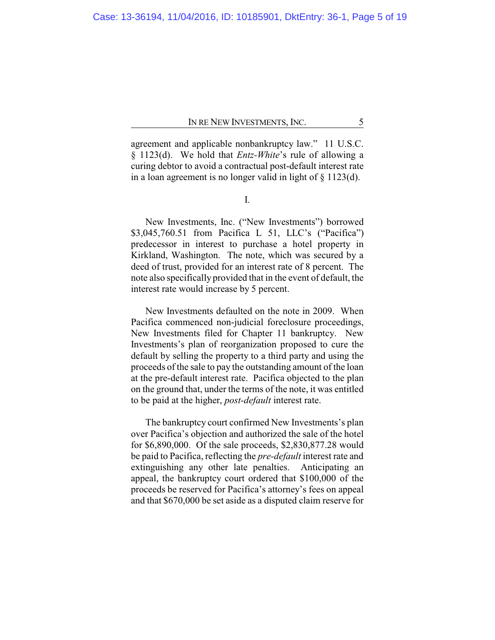agreement and applicable nonbankruptcy law." 11 U.S.C. § 1123(d). We hold that *Entz-White*'s rule of allowing a curing debtor to avoid a contractual post-default interest rate in a loan agreement is no longer valid in light of § 1123(d).

I.

New Investments, Inc. ("New Investments") borrowed \$3,045,760.51 from Pacifica L 51, LLC's ("Pacifica") predecessor in interest to purchase a hotel property in Kirkland, Washington. The note, which was secured by a deed of trust, provided for an interest rate of 8 percent. The note also specifically provided that in the event of default, the interest rate would increase by 5 percent.

New Investments defaulted on the note in 2009. When Pacifica commenced non-judicial foreclosure proceedings, New Investments filed for Chapter 11 bankruptcy. New Investments's plan of reorganization proposed to cure the default by selling the property to a third party and using the proceeds of the sale to pay the outstanding amount of the loan at the pre-default interest rate. Pacifica objected to the plan on the ground that, under the terms of the note, it was entitled to be paid at the higher, *post-default* interest rate.

The bankruptcy court confirmed New Investments's plan over Pacifica's objection and authorized the sale of the hotel for \$6,890,000. Of the sale proceeds, \$2,830,877.28 would be paid to Pacifica, reflecting the *pre-default* interest rate and extinguishing any other late penalties. Anticipating an appeal, the bankruptcy court ordered that \$100,000 of the proceeds be reserved for Pacifica's attorney's fees on appeal and that \$670,000 be set aside as a disputed claim reserve for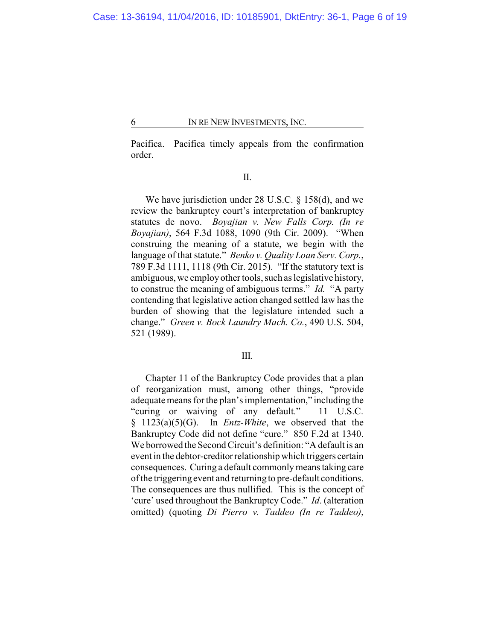Pacifica. Pacifica timely appeals from the confirmation order.

II.

We have jurisdiction under 28 U.S.C. § 158(d), and we review the bankruptcy court's interpretation of bankruptcy statutes de novo. *Boyajian v. New Falls Corp. (In re Boyajian)*, 564 F.3d 1088, 1090 (9th Cir. 2009). "When construing the meaning of a statute, we begin with the language of that statute." *Benko v. Quality Loan Serv. Corp.*, 789 F.3d 1111, 1118 (9th Cir. 2015). "If the statutory text is ambiguous, we employ other tools, such as legislative history, to construe the meaning of ambiguous terms." *Id.* "A party contending that legislative action changed settled law has the burden of showing that the legislature intended such a change." *Green v. Bock Laundry Mach. Co.*, 490 U.S. 504, 521 (1989).

## III.

Chapter 11 of the Bankruptcy Code provides that a plan of reorganization must, among other things, "provide adequate means for the plan's implementation," including the "curing or waiving of any default." 11 U.S.C. § 1123(a)(5)(G). In *Entz-White*, we observed that the Bankruptcy Code did not define "cure." 850 F.2d at 1340. We borrowed the Second Circuit's definition: "A default is an event in the debtor-creditorrelationship which triggers certain consequences. Curing a default commonlymeans taking care of the triggering event and returning to pre-default conditions. The consequences are thus nullified. This is the concept of 'cure' used throughout the BankruptcyCode." *Id*. (alteration omitted) (quoting *Di Pierro v. Taddeo (In re Taddeo)*,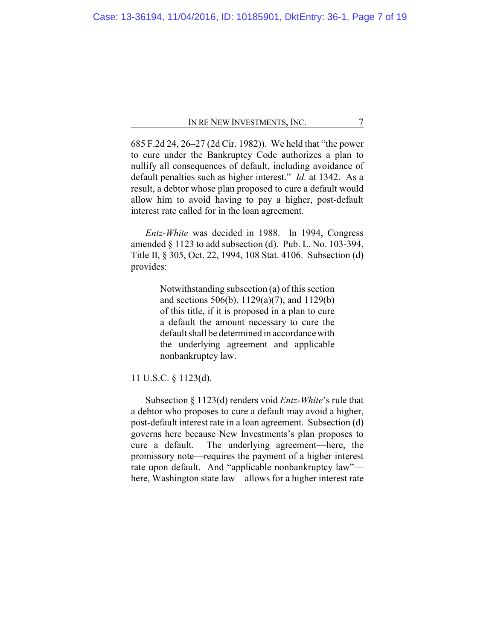685 F.2d 24, 26–27 (2d Cir. 1982)). We held that "the power to cure under the Bankruptcy Code authorizes a plan to nullify all consequences of default, including avoidance of default penalties such as higher interest." *Id.* at 1342. As a result, a debtor whose plan proposed to cure a default would allow him to avoid having to pay a higher, post-default interest rate called for in the loan agreement.

*Entz-White* was decided in 1988. In 1994, Congress amended § 1123 to add subsection (d). Pub. L. No. 103-394, Title II, § 305, Oct. 22, 1994, 108 Stat. 4106. Subsection (d) provides:

> Notwithstanding subsection (a) of this section and sections 506(b), 1129(a)(7), and 1129(b) of this title, if it is proposed in a plan to cure a default the amount necessary to cure the default shall be determined in accordance with the underlying agreement and applicable nonbankruptcy law.

11 U.S.C. § 1123(d).

Subsection § 1123(d) renders void *Entz-White*'s rule that a debtor who proposes to cure a default may avoid a higher, post-default interest rate in a loan agreement. Subsection (d) governs here because New Investments's plan proposes to cure a default. The underlying agreement—here, the promissory note—requires the payment of a higher interest rate upon default. And "applicable nonbankruptcy law" here, Washington state law—allows for a higher interest rate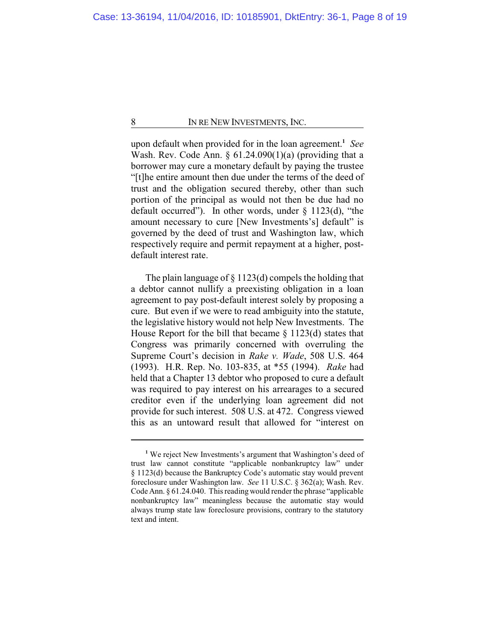upon default when provided for in the loan agreement.**<sup>1</sup>** *See* Wash. Rev. Code Ann.  $\S$  61.24.090(1)(a) (providing that a borrower may cure a monetary default by paying the trustee "[t]he entire amount then due under the terms of the deed of trust and the obligation secured thereby, other than such portion of the principal as would not then be due had no default occurred"). In other words, under § 1123(d), "the amount necessary to cure [New Investments's] default" is governed by the deed of trust and Washington law, which respectively require and permit repayment at a higher, postdefault interest rate.

The plain language of  $\S 1123(d)$  compels the holding that a debtor cannot nullify a preexisting obligation in a loan agreement to pay post-default interest solely by proposing a cure. But even if we were to read ambiguity into the statute, the legislative history would not help New Investments. The House Report for the bill that became  $\S$  1123(d) states that Congress was primarily concerned with overruling the Supreme Court's decision in *Rake v. Wade*, 508 U.S. 464 (1993). H.R. Rep. No. 103-835, at \*55 (1994). *Rake* had held that a Chapter 13 debtor who proposed to cure a default was required to pay interest on his arrearages to a secured creditor even if the underlying loan agreement did not provide for such interest. 508 U.S. at 472. Congress viewed this as an untoward result that allowed for "interest on

<sup>&</sup>lt;sup>1</sup> We reject New Investments's argument that Washington's deed of trust law cannot constitute "applicable nonbankruptcy law" under § 1123(d) because the Bankruptcy Code's automatic stay would prevent foreclosure under Washington law. *See* 11 U.S.C. § 362(a); Wash. Rev. Code Ann. § 61.24.040. This reading would render the phrase "applicable nonbankruptcy law" meaningless because the automatic stay would always trump state law foreclosure provisions, contrary to the statutory text and intent.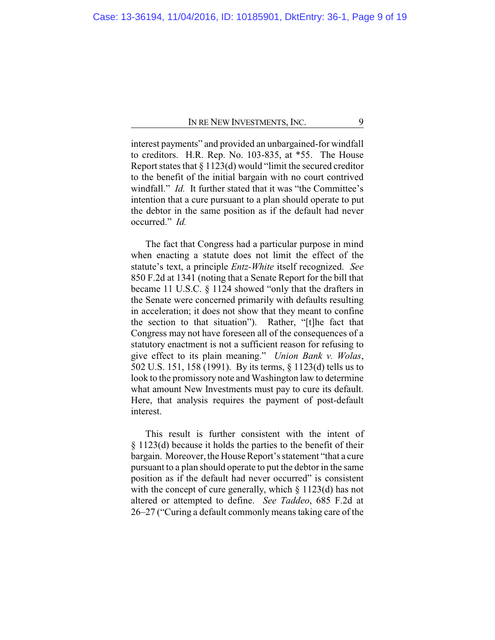interest payments" and provided an unbargained-for windfall to creditors. H.R. Rep. No. 103-835, at \*55. The House Report states that § 1123(d) would "limit the secured creditor to the benefit of the initial bargain with no court contrived windfall." *Id.* It further stated that it was "the Committee's intention that a cure pursuant to a plan should operate to put the debtor in the same position as if the default had never occurred." *Id.*

The fact that Congress had a particular purpose in mind when enacting a statute does not limit the effect of the statute's text, a principle *Entz-White* itself recognized. *See* 850 F.2d at 1341 (noting that a Senate Report for the bill that became 11 U.S.C. § 1124 showed "only that the drafters in the Senate were concerned primarily with defaults resulting in acceleration; it does not show that they meant to confine the section to that situation"). Rather, "[t]he fact that Congress may not have foreseen all of the consequences of a statutory enactment is not a sufficient reason for refusing to give effect to its plain meaning." *Union Bank v. Wolas*, 502 U.S. 151, 158 (1991). By its terms, § 1123(d) tells us to look to the promissory note and Washington law to determine what amount New Investments must pay to cure its default. Here, that analysis requires the payment of post-default interest.

This result is further consistent with the intent of § 1123(d) because it holds the parties to the benefit of their bargain. Moreover, the House Report's statement "that a cure pursuant to a plan should operate to put the debtor in the same position as if the default had never occurred" is consistent with the concept of cure generally, which  $\S$  1123(d) has not altered or attempted to define. *See Taddeo*, 685 F.2d at 26–27 ("Curing a default commonly means taking care of the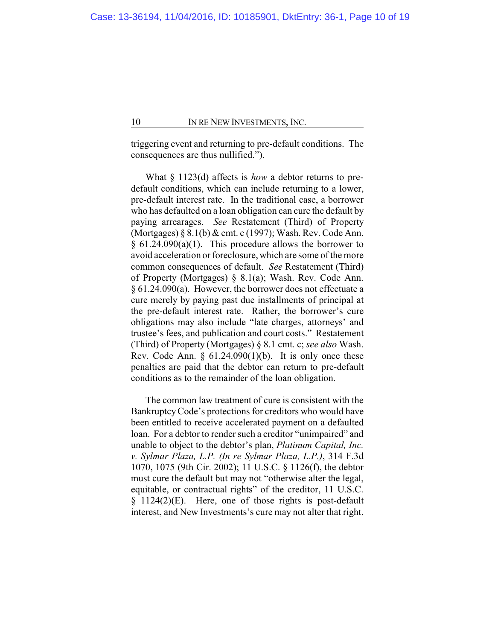triggering event and returning to pre-default conditions. The consequences are thus nullified.").

What § 1123(d) affects is *how* a debtor returns to predefault conditions, which can include returning to a lower, pre-default interest rate. In the traditional case, a borrower who has defaulted on a loan obligation can cure the default by paying arrearages. *See* Restatement (Third) of Property (Mortgages) § 8.1(b) & cmt. c (1997); Wash. Rev. Code Ann.  $§ 61.24.090(a)(1)$ . This procedure allows the borrower to avoid acceleration or foreclosure, which are some of the more common consequences of default. *See* Restatement (Third) of Property (Mortgages) § 8.1(a); Wash. Rev. Code Ann. § 61.24.090(a). However, the borrower does not effectuate a cure merely by paying past due installments of principal at the pre-default interest rate. Rather, the borrower's cure obligations may also include "late charges, attorneys' and trustee's fees, and publication and court costs." Restatement (Third) of Property (Mortgages) § 8.1 cmt. c; *see also* Wash. Rev. Code Ann.  $\S$  61.24.090(1)(b). It is only once these penalties are paid that the debtor can return to pre-default conditions as to the remainder of the loan obligation.

The common law treatment of cure is consistent with the BankruptcyCode's protections for creditors who would have been entitled to receive accelerated payment on a defaulted loan. For a debtor to render such a creditor "unimpaired" and unable to object to the debtor's plan, *Platinum Capital, Inc. v. Sylmar Plaza, L.P. (In re Sylmar Plaza, L.P.)*, 314 F.3d 1070, 1075 (9th Cir. 2002); 11 U.S.C. § 1126(f), the debtor must cure the default but may not "otherwise alter the legal, equitable, or contractual rights" of the creditor, 11 U.S.C. § 1124(2)(E). Here, one of those rights is post-default interest, and New Investments's cure may not alter that right.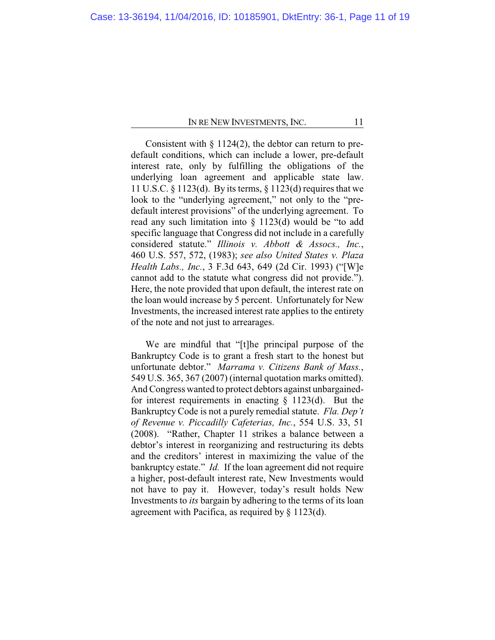Consistent with  $\S 1124(2)$ , the debtor can return to predefault conditions, which can include a lower, pre-default interest rate, only by fulfilling the obligations of the underlying loan agreement and applicable state law. 11 U.S.C. § 1123(d). By its terms, § 1123(d) requires that we look to the "underlying agreement," not only to the "predefault interest provisions" of the underlying agreement. To read any such limitation into § 1123(d) would be "to add specific language that Congress did not include in a carefully considered statute." *Illinois v. Abbott & Assocs., Inc.*, 460 U.S. 557, 572, (1983); *see also United States v. Plaza Health Labs., Inc.*, 3 F.3d 643, 649 (2d Cir. 1993) ("[W]e cannot add to the statute what congress did not provide."). Here, the note provided that upon default, the interest rate on the loan would increase by 5 percent. Unfortunately for New Investments, the increased interest rate applies to the entirety of the note and not just to arrearages.

We are mindful that "[t]he principal purpose of the Bankruptcy Code is to grant a fresh start to the honest but unfortunate debtor." *Marrama v. Citizens Bank of Mass.*, 549 U.S. 365, 367 (2007) (internal quotation marks omitted). And Congress wanted to protect debtors against unbargainedfor interest requirements in enacting § 1123(d). But the Bankruptcy Code is not a purely remedial statute. *Fla. Dep't of Revenue v. Piccadilly Cafeterias, Inc.*, 554 U.S. 33, 51 (2008). "Rather, Chapter 11 strikes a balance between a debtor's interest in reorganizing and restructuring its debts and the creditors' interest in maximizing the value of the bankruptcy estate." *Id.* If the loan agreement did not require a higher, post-default interest rate, New Investments would not have to pay it. However, today's result holds New Investments to *its* bargain by adhering to the terms of its loan agreement with Pacifica, as required by § 1123(d).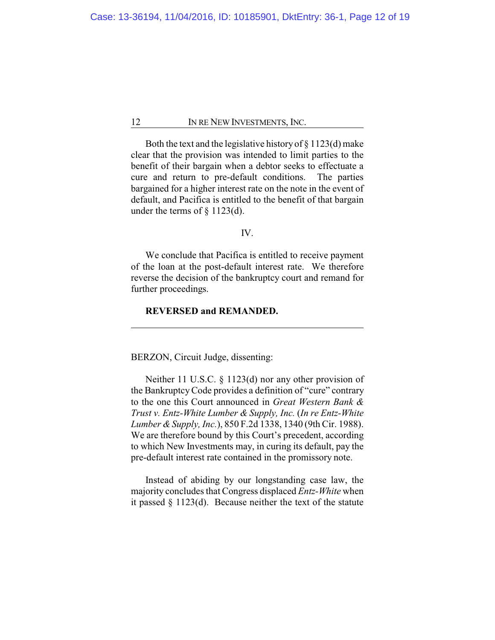Both the text and the legislative history of  $\S 1123(d)$  make clear that the provision was intended to limit parties to the benefit of their bargain when a debtor seeks to effectuate a cure and return to pre-default conditions. The parties bargained for a higher interest rate on the note in the event of default, and Pacifica is entitled to the benefit of that bargain under the terms of § 1123(d).

## IV.

We conclude that Pacifica is entitled to receive payment of the loan at the post-default interest rate. We therefore reverse the decision of the bankruptcy court and remand for further proceedings.

## **REVERSED and REMANDED.**

BERZON, Circuit Judge, dissenting:

Neither 11 U.S.C. § 1123(d) nor any other provision of the BankruptcyCode provides a definition of "cure" contrary to the one this Court announced in *Great Western Bank & Trust v. Entz-White Lumber & Supply, Inc.* (*In re Entz-White Lumber &Supply, Inc.*), 850 F.2d 1338, 1340 (9th Cir. 1988). We are therefore bound by this Court's precedent, according to which New Investments may, in curing its default, pay the pre-default interest rate contained in the promissory note.

Instead of abiding by our longstanding case law, the majority concludes that Congress displaced *Entz-White* when it passed § 1123(d). Because neither the text of the statute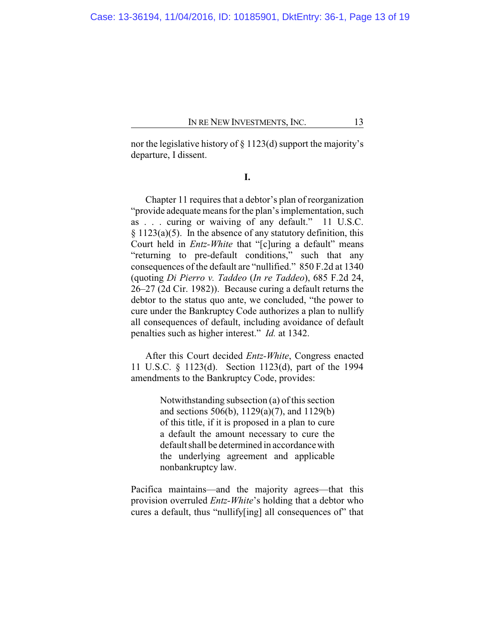nor the legislative history of  $\S 1123(d)$  support the majority's departure, I dissent.

**I.**

Chapter 11 requires that a debtor's plan of reorganization "provide adequate means for the plan's implementation, such as . . . curing or waiving of any default." 11 U.S.C.  $§ 1123(a)(5)$ . In the absence of any statutory definition, this Court held in *Entz-White* that "[c]uring a default" means "returning to pre-default conditions," such that any consequences of the default are "nullified." 850 F.2d at 1340 (quoting *Di Pierro v. Taddeo* (*In re Taddeo*), 685 F.2d 24, 26–27 (2d Cir. 1982)). Because curing a default returns the debtor to the status quo ante, we concluded, "the power to cure under the Bankruptcy Code authorizes a plan to nullify all consequences of default, including avoidance of default penalties such as higher interest." *Id.* at 1342.

After this Court decided *Entz-White*, Congress enacted 11 U.S.C. § 1123(d). Section 1123(d), part of the 1994 amendments to the Bankruptcy Code, provides:

> Notwithstanding subsection (a) of this section and sections 506(b), 1129(a)(7), and 1129(b) of this title, if it is proposed in a plan to cure a default the amount necessary to cure the default shall be determined in accordance with the underlying agreement and applicable nonbankruptcy law.

Pacifica maintains—and the majority agrees—that this provision overruled *Entz-White*'s holding that a debtor who cures a default, thus "nullify[ing] all consequences of" that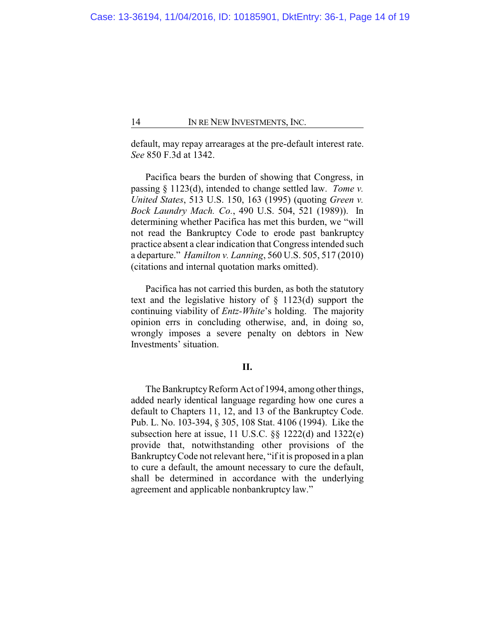default, may repay arrearages at the pre-default interest rate. *See* 850 F.3d at 1342.

Pacifica bears the burden of showing that Congress, in passing § 1123(d), intended to change settled law. *Tome v. United States*, 513 U.S. 150, 163 (1995) (quoting *Green v. Bock Laundry Mach. Co.*, 490 U.S. 504, 521 (1989)). In determining whether Pacifica has met this burden, we "will not read the Bankruptcy Code to erode past bankruptcy practice absent a clear indication that Congress intended such a departure." *Hamilton v. Lanning*, 560 U.S. 505, 517 (2010) (citations and internal quotation marks omitted).

Pacifica has not carried this burden, as both the statutory text and the legislative history of § 1123(d) support the continuing viability of *Entz-White*'s holding. The majority opinion errs in concluding otherwise, and, in doing so, wrongly imposes a severe penalty on debtors in New Investments' situation.

## **II.**

The Bankruptcy Reform Act of 1994, among other things, added nearly identical language regarding how one cures a default to Chapters 11, 12, and 13 of the Bankruptcy Code. Pub. L. No. 103-394, § 305, 108 Stat. 4106 (1994). Like the subsection here at issue, 11 U.S.C. §§ 1222(d) and 1322(e) provide that, notwithstanding other provisions of the BankruptcyCode not relevant here, "if it is proposed in a plan to cure a default, the amount necessary to cure the default, shall be determined in accordance with the underlying agreement and applicable nonbankruptcy law."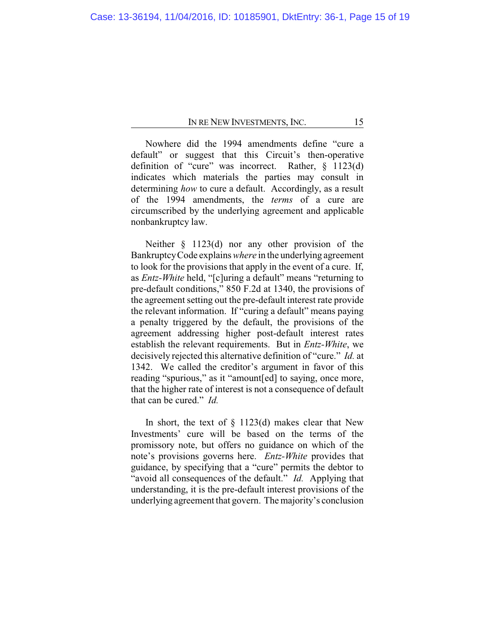Nowhere did the 1994 amendments define "cure a default" or suggest that this Circuit's then-operative definition of "cure" was incorrect. Rather, § 1123(d) indicates which materials the parties may consult in determining *how* to cure a default. Accordingly, as a result of the 1994 amendments, the *terms* of a cure are circumscribed by the underlying agreement and applicable nonbankruptcy law.

Neither § 1123(d) nor any other provision of the BankruptcyCode explains *where* in the underlying agreement to look for the provisions that apply in the event of a cure. If, as *Entz-White* held, "[c]uring a default" means "returning to pre-default conditions," 850 F.2d at 1340, the provisions of the agreement setting out the pre-default interest rate provide the relevant information. If "curing a default" means paying a penalty triggered by the default, the provisions of the agreement addressing higher post-default interest rates establish the relevant requirements. But in *Entz-White*, we decisively rejected this alternative definition of "cure." *Id.* at 1342. We called the creditor's argument in favor of this reading "spurious," as it "amount[ed] to saying, once more, that the higher rate of interest is not a consequence of default that can be cured." *Id.*

In short, the text of  $\S$  1123(d) makes clear that New Investments' cure will be based on the terms of the promissory note, but offers no guidance on which of the note's provisions governs here. *Entz-White* provides that guidance, by specifying that a "cure" permits the debtor to "avoid all consequences of the default." *Id.* Applying that understanding, it is the pre-default interest provisions of the underlying agreement that govern. The majority's conclusion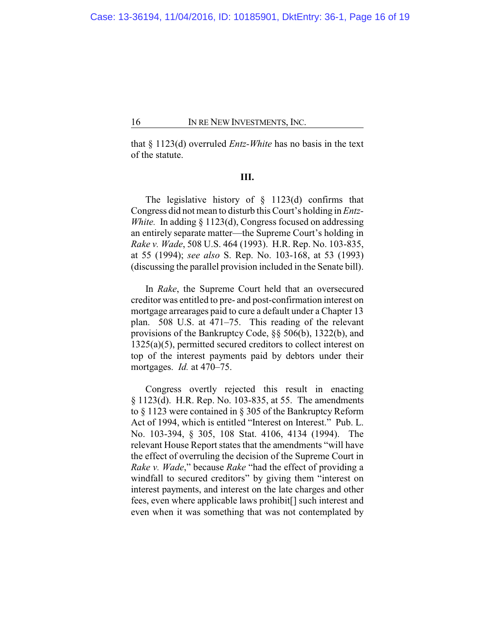that § 1123(d) overruled *Entz-White* has no basis in the text of the statute.

## **III.**

The legislative history of  $\S$  1123(d) confirms that Congress did not mean to disturb this Court's holding in *Entz-White.* In adding § 1123(d), Congress focused on addressing an entirely separate matter—the Supreme Court's holding in *Rake v. Wade*, 508 U.S. 464 (1993). H.R. Rep. No. 103-835, at 55 (1994); *see also* S. Rep. No. 103-168, at 53 (1993) (discussing the parallel provision included in the Senate bill).

In *Rake*, the Supreme Court held that an oversecured creditor was entitled to pre- and post-confirmation interest on mortgage arrearages paid to cure a default under a Chapter 13 plan. 508 U.S. at 471–75. This reading of the relevant provisions of the Bankruptcy Code, §§ 506(b), 1322(b), and 1325(a)(5), permitted secured creditors to collect interest on top of the interest payments paid by debtors under their mortgages. *Id.* at 470–75.

Congress overtly rejected this result in enacting § 1123(d). H.R. Rep. No. 103-835, at 55. The amendments to § 1123 were contained in § 305 of the Bankruptcy Reform Act of 1994, which is entitled "Interest on Interest." Pub. L. No. 103-394, § 305, 108 Stat. 4106, 4134 (1994). The relevant House Report states that the amendments "will have the effect of overruling the decision of the Supreme Court in *Rake v. Wade*," because *Rake* "had the effect of providing a windfall to secured creditors" by giving them "interest on interest payments, and interest on the late charges and other fees, even where applicable laws prohibit[] such interest and even when it was something that was not contemplated by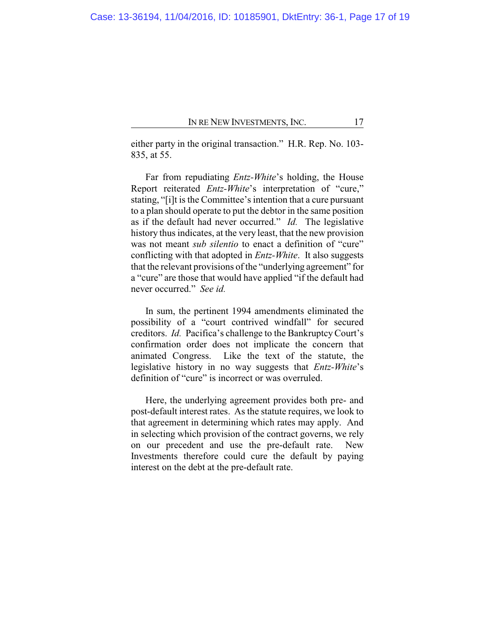either party in the original transaction." H.R. Rep. No. 103- 835, at 55.

Far from repudiating *Entz-White*'s holding, the House Report reiterated *Entz-White*'s interpretation of "cure," stating, "[i]t is the Committee's intention that a cure pursuant to a plan should operate to put the debtor in the same position as if the default had never occurred." *Id.* The legislative history thus indicates, at the very least, that the new provision was not meant *sub silentio* to enact a definition of "cure" conflicting with that adopted in *Entz-White*. It also suggests that the relevant provisions of the "underlying agreement" for a "cure" are those that would have applied "if the default had never occurred." *See id.*

In sum, the pertinent 1994 amendments eliminated the possibility of a "court contrived windfall" for secured creditors. *Id.* Pacifica's challenge to the BankruptcyCourt's confirmation order does not implicate the concern that animated Congress. Like the text of the statute, the legislative history in no way suggests that *Entz-White*'s definition of "cure" is incorrect or was overruled.

Here, the underlying agreement provides both pre- and post-default interest rates. As the statute requires, we look to that agreement in determining which rates may apply. And in selecting which provision of the contract governs, we rely on our precedent and use the pre-default rate. New Investments therefore could cure the default by paying interest on the debt at the pre-default rate.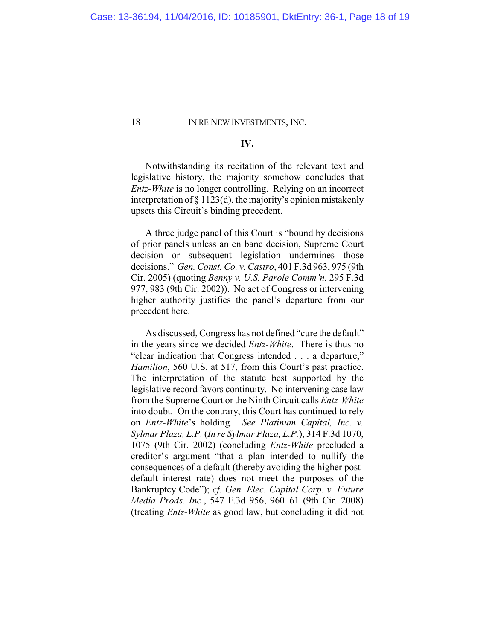## **IV.**

Notwithstanding its recitation of the relevant text and legislative history, the majority somehow concludes that *Entz-White* is no longer controlling. Relying on an incorrect interpretation of § 1123(d), the majority's opinion mistakenly upsets this Circuit's binding precedent.

A three judge panel of this Court is "bound by decisions of prior panels unless an en banc decision, Supreme Court decision or subsequent legislation undermines those decisions." *Gen. Const. Co. v. Castro*, 401 F.3d 963, 975 (9th Cir. 2005) (quoting *Benny v. U.S. Parole Comm'n*, 295 F.3d 977, 983 (9th Cir. 2002)). No act of Congress or intervening higher authority justifies the panel's departure from our precedent here.

As discussed, Congress has not defined "cure the default" in the years since we decided *Entz-White*. There is thus no "clear indication that Congress intended . . . a departure," *Hamilton*, 560 U.S. at 517, from this Court's past practice. The interpretation of the statute best supported by the legislative record favors continuity. No intervening case law from the Supreme Court or the Ninth Circuit calls *Entz-White* into doubt. On the contrary, this Court has continued to rely on *Entz-White*'s holding. *See Platinum Capital, Inc. v. Sylmar Plaza, L.P.* (*In re Sylmar Plaza, L.P.*), 314 F.3d 1070, 1075 (9th Cir. 2002) (concluding *Entz-White* precluded a creditor's argument "that a plan intended to nullify the consequences of a default (thereby avoiding the higher postdefault interest rate) does not meet the purposes of the Bankruptcy Code"); *cf. Gen. Elec. Capital Corp. v. Future Media Prods. Inc.*, 547 F.3d 956, 960–61 (9th Cir. 2008) (treating *Entz-White* as good law, but concluding it did not